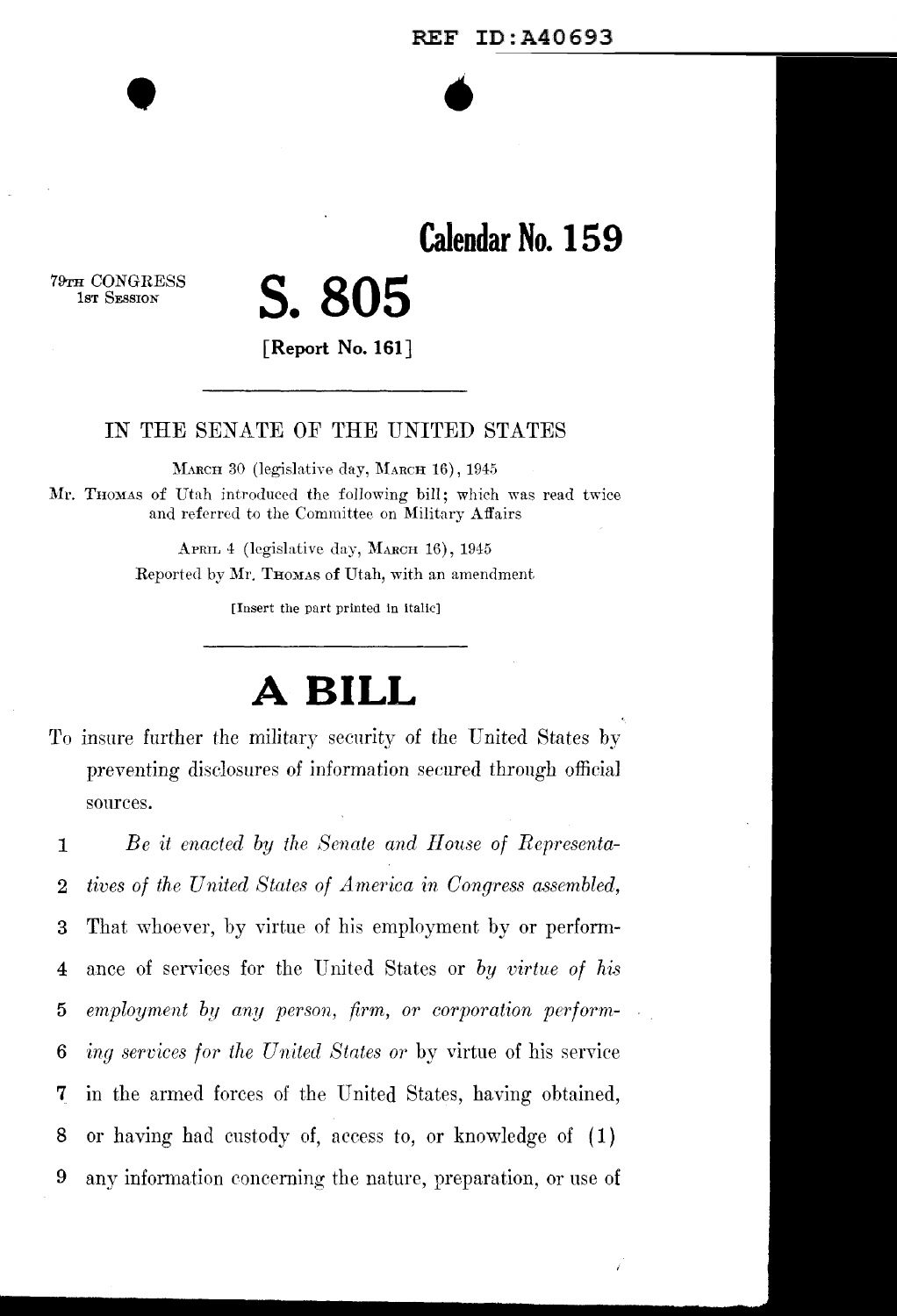•

**Calendar No. 15 9** 

79TH CONGRESS<br>1st Session

•

# lsT SESSION **S.805**

**[Report** No. **161]** 

#### IN THE SENATE OF THE UNITED STATES

MARCH 30 (legislative day, MARCH 16), 1945 Mr. THOMAS of Utah introduced the following bill; which was read twice and referred to the Committee on Military Affairs

> APRIL 4 (legislative day, MARCH 16), 1945 Reported by Mr. THOMAS of Utah, with an amendment

> > [Insert the part printed in italic]

## **A BILL**

To insure further the military security of the United States by preventing disclosures of information secured through official sources.

1 *Be it enacted by the Senate and llouse of Representa-*2 *tives of the United States of America in Congress assembled,* 3 That whoever, by virtue of his employment by or perform-4 ance of services for the United States or *by virtue of hi.s*  5 *employment by any person, firm, or corporation pcrform-*6 *ing services for the United States or* by virtue of his service **7** in the armed forces of the United States, having obtained, 8 or having had custody of, access to, or knowledge of ( 1) 9 any information concerning the nature, preparation, or use of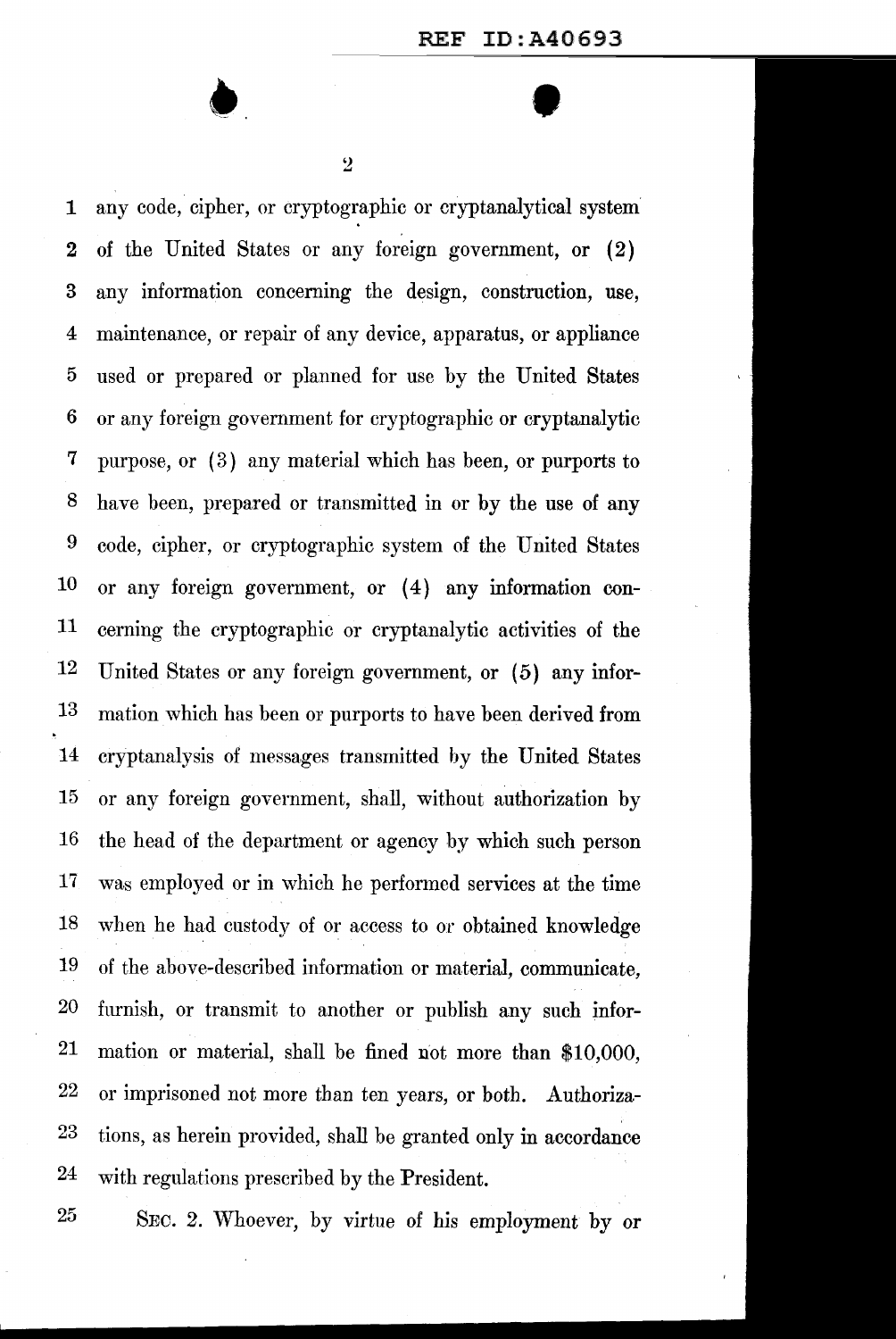$\bullet$   $\bullet$ 

1 any code, cipher, or cryptographic or cryptanalytical system 2 of the United States or any foreign government, or (2) 3 any information concerning the design, construction, use, 4 maintenance, or repair of any device, apparatus, or appliance 5 used or prepared or planned for use by the United States 6 or any foreign government for cryptographic or cryptanalytic 7 purpose, or ( 3) any material which has been, or purports to 8 have been, prepared or transmitted in or by the use of any 9 code, cipher, or cryptographic system of the United States 10 or any foreign government, or (4) any information con-11 cerning the cryptographic or cryptanalytic activities of the 12 United States or any foreign government, or (5) any infor-13 mation which has been or purports to have been derived from 14 cryptanalysis of messages transmitted by the United States 15 or any foreign government, shall, without authorization by 16 the head of the department or agency by which such person 17 was employed or in which he performed services at the time 18 when he had custody of or access to or obtained knowledge 19 of the above-described information or material, communicate, 20 furnish, or transmit to another or publish any such infor-21 mation or material, shall be fined not more than \$10,000, 22 or imprisoned not more than ten years, or both. Authoriza-23 tions, as herein provided, shall be granted only in accordance 24 with regulations prescribed by the President.

25 SEC. 2. Whoever, by virtue of his employment by or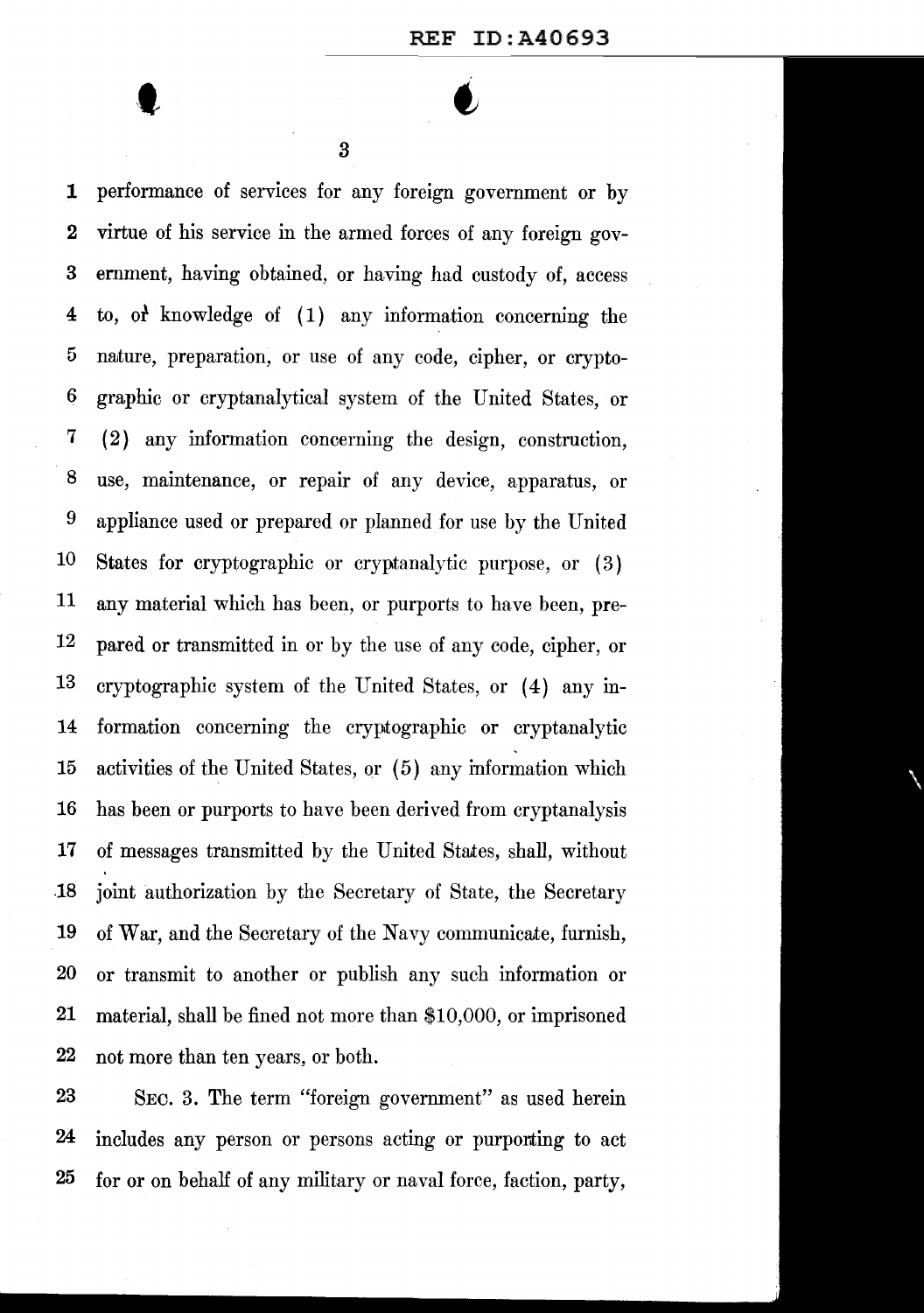t

1 performance of services for any foreign government or by 2 virtue of his service in the armed forces of any foreign gov-3 ernment, having obtained, or having had custody of, access 4 to, of knowledge of (1) any information concerning the 5 naiture, preparation, or use of any code, cipher, or crypto-*6* graphic or cryptanalytical system of the United States, or 7 ( 2) any information concerning the design, construction, 8 use, maintenance, or repair of any device, apparatus, or 9 appliance used or prepared or planned for use by the United 10 States for cryptographic or cryptanalytic purpose, or ( 3) 11 any material which has been, or purports to have been, pre-12 pared or transmitted in or by the use of any code, cipher, or 13 cryptographic system of the United States, or (4) any in-14 formation concerning the cryptographic or cryptanalytic  $15$  activities of the United States, or  $(5)$  any information which 16 has been or purports to have been derived from cryptanalysis 17 of messages transmitted by the United Staites, shall, without .18 joint authorization by the Secretary of State, the Secretary 19 of War, and the Secretary of the Navy communicate, furnish, 20 or transmit to another or publish any such information or 21 material, shall be fined not more than \$10,000, or imprisoned 22 not more than ten years, or both.

23 SEC. 3. The term "foreign government" as used herein 24 includes any person or persons acting or purporting to act 25 for or on behalf of any military or naval force, faction, party,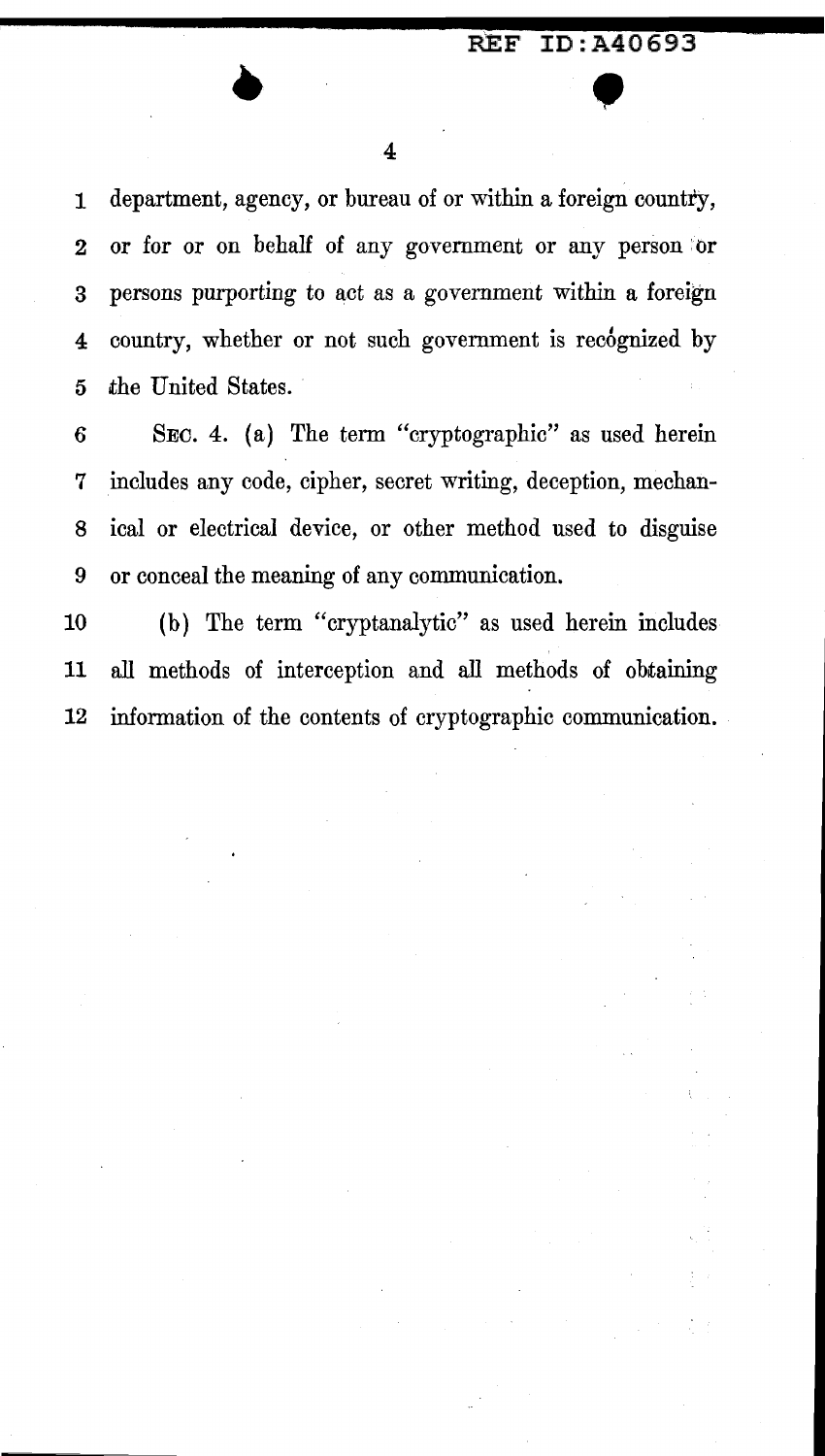**4** 

**1** department, agency, or bureau of or within a foreign country, 2 or for or on behalf of any government or any person or 3 persons purporting to act as a government within a foreign 4 country, whether or not such government is recognized by 5 the United States.

6 SEC. 4. (a) The term "cryptographic" as used herein 7 includes any code, cipher, secret writing, deception, mechan-8 ical or electrical device, or other method used to disguise 9 or conceal the meaning of any communication.

10 (b) The term "cryptanalytic" as used herein includes **11** all methods of interception and all methods of obtaining 12 information of the contents of cryptographic communication.